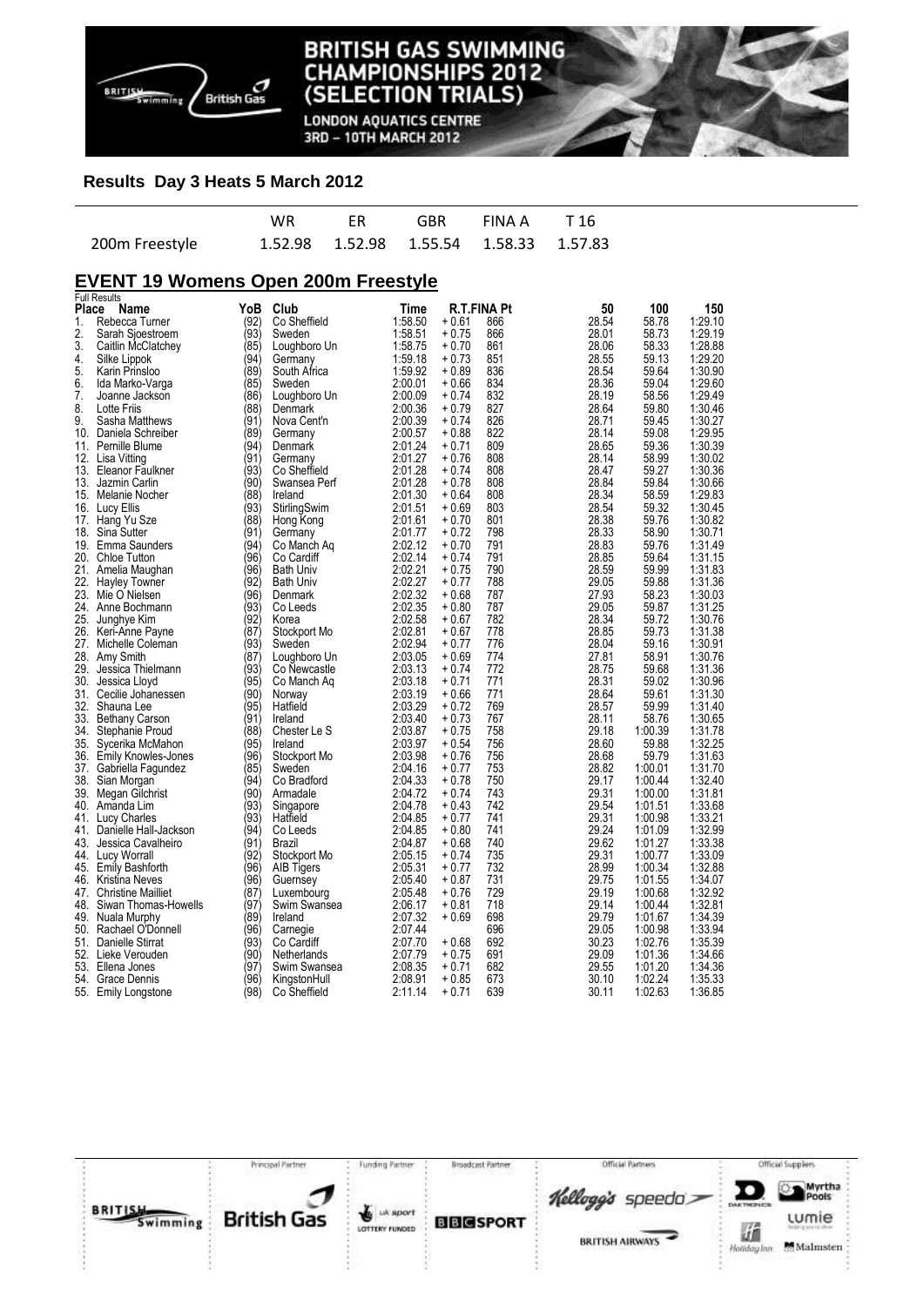

**LONDON AQUATICS CENTRE** 3RD - 10TH MARCH 2012

## **Results Day 3 Heats 5 March 2012**

|                | <b>WR</b> |  | ER GBR FINAA T16                            |  |
|----------------|-----------|--|---------------------------------------------|--|
| 200m Freestyle |           |  | 1.52.98  1.52.98  1.55.54  1.58.33  1.57.83 |  |

## **EVENT 19 Womens Open 200m Freestyle**

|       | <b>Full Results</b>       |      |                  |         |         |             |       |         |         |
|-------|---------------------------|------|------------------|---------|---------|-------------|-------|---------|---------|
| Place | Name                      | YoB  | Club             | Time    |         | R.T.FINA Pt | 50    | 100     | 150     |
| 1.    | Rebecca Tumer             | (92) | Co Sheffield     | 1:58.50 | $+0.61$ | 866         | 28.54 | 58.78   | 1:29.10 |
| 2.    | Sarah Sjoestroem          | (93) | Sweden           | 1:58.51 | $+0.75$ | 866         | 28.01 | 58.73   | 1:29.19 |
| 3.    | Caitlin McClatchey        | (85) | Loughboro Un     | 1:58.75 | $+0.70$ | 861         | 28.06 | 58.33   | 1:28.88 |
| 4.    |                           | (94) |                  | 1:59.18 | $+0.73$ | 851         | 28.55 | 59.13   | 1:29.20 |
|       | Silke Lippok              |      | Germany          |         |         |             |       |         |         |
| 5.    | Karin Prinsloo            | (89) | South Africa     | 1:59.92 | $+0.89$ | 836         | 28.54 | 59.64   | 1:30.90 |
| 6.    | Ida Marko-Varga           | (85) | Sweden           | 2:00.01 | $+0.66$ | 834         | 28.36 | 59.04   | 1:29.60 |
| 7.    | Joanne Jackson            | (86) | Loughboro Un     | 2:00.09 | $+0.74$ | 832         | 28.19 | 58.56   | 1:29.49 |
| 8.    | Lotte Friis               | (88) | Denmark          | 2:00.36 | $+0.79$ | 827         | 28.64 | 59.80   | 1:30.46 |
| 9.    | Sasha Matthews            | (91) | Nova Cent'n      | 2:00.39 | $+0.74$ | 826         | 28.71 | 59.45   | 1:30.27 |
| 10.   | Daniela Schreiber         | (89) | Germany          | 2:00.57 | $+0.88$ | 822         | 28.14 | 59.08   | 1:29.95 |
| 11.   | Pemille Blume             | (94) | Denmark          | 2:01.24 | $+0.71$ | 809         | 28.65 | 59.36   | 1:30.39 |
|       | 12. Lisa Vitting          | (91) | Germany          | 2:01.27 | $+0.76$ | 808         | 28.14 | 58.99   | 1:30.02 |
|       |                           |      |                  |         |         |             |       |         |         |
|       | 13. Eleanor Faulkner      | (93) | Co Sheffield     | 2:01.28 | $+0.74$ | 808         | 28.47 | 59.27   | 1:30.36 |
| 13.   | Jazmin Carlin             | (90) | Swansea Perf     | 2:01.28 | $+0.78$ | 808         | 28.84 | 59.84   | 1:30.66 |
|       | 15. Melanie Nocher        | (88) | Ireland          | 2:01.30 | $+0.64$ | 808         | 28.34 | 58.59   | 1:29.83 |
|       | 16. Lucy Ellis            | (93) | StirlingSwim     | 2:01.51 | $+0.69$ | 803         | 28.54 | 59.32   | 1:30.45 |
|       | 17. Hang Yu Sze           | (88) | Hong Kong        | 2:01.61 | $+0.70$ | 801         | 28.38 | 59.76   | 1:30.82 |
|       | 18. Sina Sutter           | (91) | Germany          | 2:01.77 | $+0.72$ | 798         | 28.33 | 58.90   | 1:30.71 |
|       | 19. Emma Saunders         | (94) | Co Manch Aq      | 2:02.12 | $+0.70$ | 791         | 28.83 | 59.76   | 1:31.49 |
|       |                           |      |                  |         |         |             |       |         |         |
|       | 20. Chloe Tutton          | (96) | Co Cardiff       | 2:02.14 | $+0.74$ | 791         | 28.85 | 59.64   | 1:31.15 |
|       | 21. Amelia Maughan        | (96) | <b>Bath Univ</b> | 2:02.21 | $+0.75$ | 790         | 28.59 | 59.99   | 1:31.83 |
|       | 22. Hayley Towner         | (92) | <b>Bath Univ</b> | 2:02.27 | $+0.77$ | 788         | 29.05 | 59.88   | 1:31.36 |
|       | 23. Mie O Nielsen         | (96) | Denmark          | 2:02.32 | $+0.68$ | 787         | 27.93 | 58.23   | 1:30.03 |
|       | 24. Anne Bochmann         | (93) | Co Leeds         | 2:02.35 | $+0.80$ | 787         | 29.05 | 59.87   | 1:31.25 |
|       | 25. Junghye Kim           | (92) | Korea            | 2:02.58 | $+0.67$ | 782         | 28.34 | 59.72   | 1:30.76 |
|       | 26. Keri-Anne Payne       | (87) | Stockport Mo     | 2:02.81 | $+0.67$ | 778         | 28.85 | 59.73   | 1:31.38 |
|       | 27. Michelle Coleman      | (93) | Sweden           | 2:02.94 | $+0.77$ | 776         | 28.04 | 59.16   | 1:30.91 |
|       |                           |      |                  |         |         |             |       |         |         |
|       | 28. Amy Smith             | (87) | Loughboro Un     | 2:03.05 | $+0.69$ | 774         | 27.81 | 58.91   | 1:30.76 |
| 29.   | Jessica Thielmann         | (93) | Co Newcastle     | 2:03.13 | $+0.74$ | 772         | 28.75 | 59.68   | 1:31.36 |
| 30.   | Jessica Lloyd             | (95) | Co Manch Aq      | 2:03.18 | $+0.71$ | 771         | 28.31 | 59.02   | 1:30.96 |
|       | 31. Cecilie Johanessen    | (90) | Norway           | 2:03.19 | $+0.66$ | 771         | 28.64 | 59.61   | 1:31.30 |
|       | 32. Shauna Lee            | (95) | Hatfield         | 2:03.29 | $+0.72$ | 769         | 28.57 | 59.99   | 1:31.40 |
| 33.   | <b>Bethany Carson</b>     | (91) | Ireland          | 2:03.40 | $+0.73$ | 767         | 28.11 | 58.76   | 1:30.65 |
|       | 34. Stephanie Proud       | (88) | Chester Le S     | 2:03.87 | $+0.75$ | 758         | 29.18 | 1:00.39 | 1:31.78 |
|       | 35. Sycerika McMahon      | (95) | Ireland          | 2:03.97 | $+0.54$ | 756         | 28.60 | 59.88   | 1:32.25 |
|       |                           | (96' |                  | 2:03.98 |         |             |       |         |         |
|       | 36. Emily Knowles-Jones   |      | Stockport Mo     |         | $+0.76$ | 756         | 28.68 | 59.79   | 1:31.63 |
|       | 37. Gabriella Fagundez    | (85) | Sweden           | 2:04.16 | $+0.77$ | 753         | 28.82 | 1:00.01 | 1:31.70 |
|       | 38. Sian Morgan           | (94) | Co Bradford      | 2:04.33 | $+0.78$ | 750         | 29.17 | 1:00.44 | 1:32.40 |
|       | 39. Megan Gilchrist       | (90) | Armadale         | 2:04.72 | $+0.74$ | 743         | 29.31 | 1:00.00 | 1:31.81 |
|       | 40. Amanda Lim            | (93) | Singapore        | 2:04.78 | $+0.43$ | 742         | 29.54 | 1:01.51 | 1:33.68 |
|       | 41. Lucy Charles          | (93) | Hatfield         | 2:04.85 | $+0.77$ | 741         | 29.31 | 1:00.98 | 1:33.21 |
|       | 41. Danielle Hall-Jackson | (94) | Co Leeds         | 2:04.85 | $+0.80$ | 741         | 29.24 | 1:01.09 | 1:32.99 |
|       | 43. Jessica Cavalheiro    | (91) | Brazil           | 2:04.87 | + 0.68  | 740         | 29.62 | 1:01.27 | 1:33.38 |
|       |                           | (92) |                  | 2:05.15 | $+0.74$ | 735         | 29.31 | 1:00.77 | 1:33.09 |
|       | 44. Lucy Worrall          |      | Stockport Mo     |         |         |             |       |         |         |
|       | 45. Emily Bashforth       | (96' | AIB Tigers       | 2:05.31 | $+0.77$ | 732         | 28.99 | 1:00.34 | 1:32.88 |
|       | 46. Kristina Neves        | (96) | Guernsey         | 2:05.40 | + 0.87  | 731         | 29.75 | 1:01.55 | 1:34.07 |
|       | 47. Christine Mailliet    | (87) | Luxembourg       | 2:05.48 | $+0.76$ | 729         | 29.19 | 1:00.68 | 1:32.92 |
| 48.   | Siwan Thomas-Howells      | (97' | Swim Swansea     | 2:06.17 | $+0.81$ | 718         | 29.14 | 1:00.44 | 1:32.81 |
| 49.   | Nuala Murphy              | (89) | Ireland          | 2:07.32 | $+0.69$ | 698         | 29.79 | 1:01.67 | 1:34.39 |
|       | 50. Rachael O'Donnell     | (96) | Carnegie         | 2:07.44 |         | 696         | 29.05 | 1:00.98 | 1:33.94 |
|       | 51. Danielle Stirrat      | (93) | Co Cardiff       | 2:07.70 | $+0.68$ | 692         | 30.23 | 1:02.76 | 1:35.39 |
|       | 52. Lieke Verouden        | (90) | Netherlands      | 2:07.79 | $+0.75$ | 691         | 29.09 | 1:01.36 | 1:34.66 |
|       |                           |      |                  |         |         |             |       |         |         |
|       | 53. Ellena Jones          | (97) | Swim Swansea     | 2:08.35 | $+0.71$ | 682         | 29.55 | 1:01.20 | 1:34.36 |
|       | 54. Grace Dennis          | (96) | KingstonHull     | 2:08.91 | $+0.85$ | 673         | 30.10 | 1:02.24 | 1:35.33 |
|       | 55. Emily Longstone       | (98) | Co Sheffield     | 2:11.14 | $+0.71$ | 639         | 30.11 | 1:02.63 | 1:36.85 |

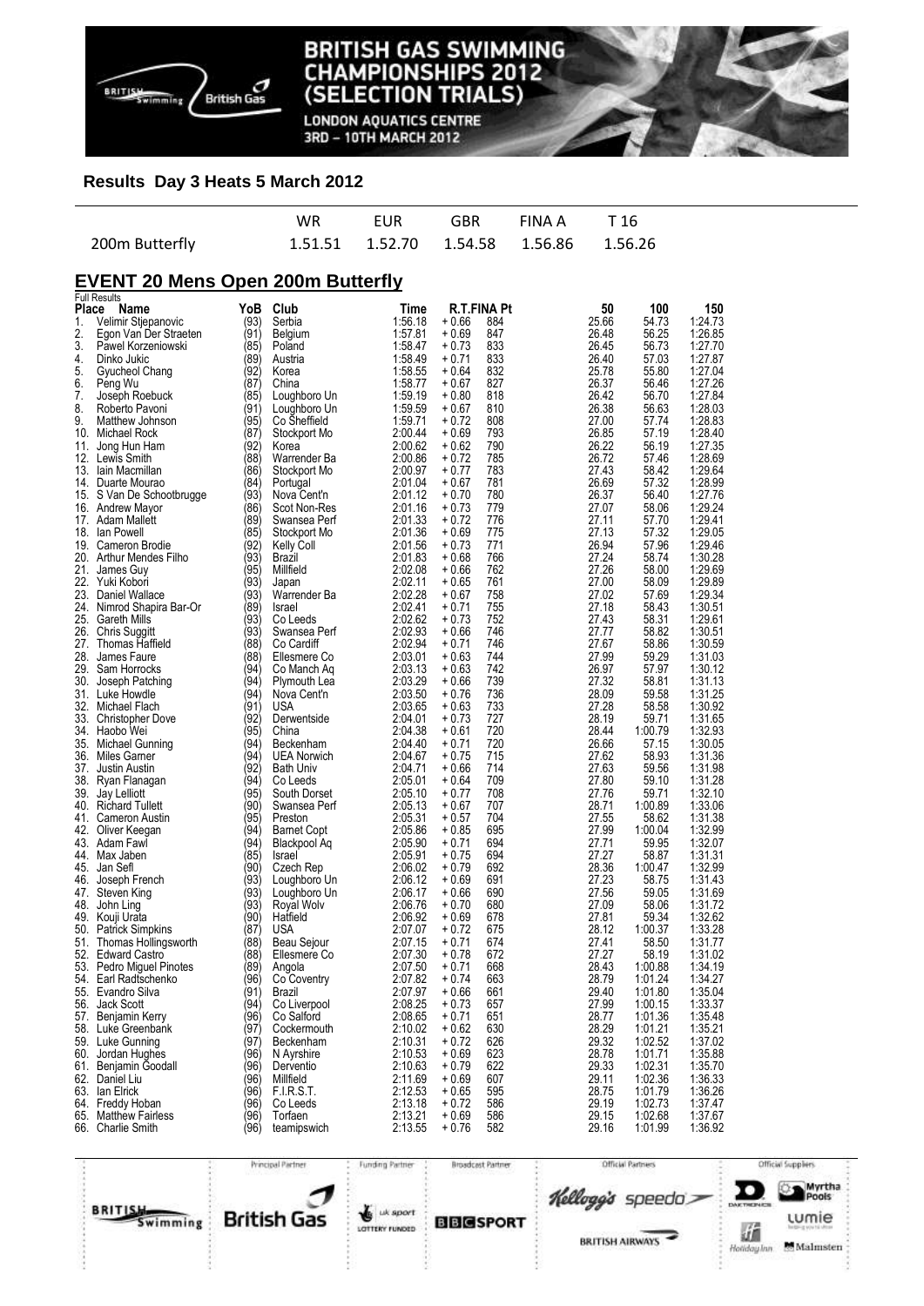

**LONDON AQUATICS CENTRE** 3RD - 10TH MARCH 2012

## **Results Day 3 Heats 5 March 2012**

|                |  | WR FUR GBR FINA A T16                       |  |
|----------------|--|---------------------------------------------|--|
| 200m Butterfly |  | 1.51.51  1.52.70  1.54.58  1.56.86  1.56.26 |  |

## **EVENT 20 Mens Open 200m Butterfly**

| Place<br>1.<br>2.<br>3.<br>4.<br>5.<br>6.<br>7.<br>8.<br>9. | Name<br>Velimir Stjepanovic<br>Egon Van Der Straeten<br>Pawel Korzeniowski<br>Dinko Jukic<br>Gyucheol Chang<br>Peng Wu<br>Joseph Roebuck<br>Roberto Pavoni<br>Matthew Johnson<br>10. Michael Rock<br>11. Jong Hun Ham<br>12. Lewis Smith<br>13. Iain Macmillan<br>14. Duarte Mourao<br>15. S Van De Schootbrugge<br>16. Andrew Mayor<br>17. Adam Mallett<br>18. Ian Powell<br>19. Cameron Brodie<br>20. Arthur Mendes Filho<br>21. James Guy<br>22. Yuki Kobori<br>23. Daniel Wallace | YoB<br>(93)<br>(91)<br>(85)<br>(89)<br>(92)<br>(87)<br>(85)<br>(91)<br>(95)<br>(87)<br>(92)<br>(88)<br>(86)<br>(84)<br>(93)<br>(86)<br>(89)<br>(85)<br>(92)<br>(93) | Club<br>Serbia<br>Belgium<br>Poland<br>Austria<br>Korea<br>China<br>Loughboro Un<br>Loughboro Un<br>Co Sheffield<br>Stockport Mo<br>Korea<br>Warrender Ba<br>Stockport Mo<br>Portugal<br>Nova Cent'n<br>Scot Non-Res<br>Swansea Perf | Time<br>1:56.18<br>1:57.81<br>1:58.47<br>1:58.49<br>1:58.55<br>1:58.77<br>1:59.19<br>1:59.59<br>1:59.71<br>2:00.44<br>2:00.62<br>2:00.86<br>2:00.97<br>2:01.04<br>2:01.12 | R.T.FINA Pt<br>$+0.66$<br>884<br>$+0.69$<br>847<br>833<br>$+0.73$<br>833<br>$+0.71$<br>832<br>$+0.64$<br>827<br>+ 0.67<br>$+0.80$<br>818<br>810<br>+ 0.67<br>808<br>+ 0.72<br>793<br>$+0.69$<br>790<br>$+0.62$<br>785<br>$+0.72$<br>783<br>$+0.77$<br>781<br>$+0.67$ | 50<br>25.66<br>26.48<br>26.45<br>26.40<br>25.78<br>26.37<br>26.42<br>26.38<br>27.00<br>26.85<br>26.22<br>26.72<br>27.43 | 100<br>54.73<br>56.25<br>56.73<br>57.03<br>55.80<br>56.46<br>56.70<br>56.63<br>57.74<br>57.19<br>56.19<br>57.46 | 150<br>1:24.73<br>1:26.85<br>1:27.70<br>1:27.87<br>1:27.04<br>1:27.26<br>1:27.84<br>1:28.03<br>1:28.83<br>1:28.40<br>1:27.35 |
|-------------------------------------------------------------|---------------------------------------------------------------------------------------------------------------------------------------------------------------------------------------------------------------------------------------------------------------------------------------------------------------------------------------------------------------------------------------------------------------------------------------------------------------------------------------|---------------------------------------------------------------------------------------------------------------------------------------------------------------------|--------------------------------------------------------------------------------------------------------------------------------------------------------------------------------------------------------------------------------------|---------------------------------------------------------------------------------------------------------------------------------------------------------------------------|----------------------------------------------------------------------------------------------------------------------------------------------------------------------------------------------------------------------------------------------------------------------|-------------------------------------------------------------------------------------------------------------------------|-----------------------------------------------------------------------------------------------------------------|------------------------------------------------------------------------------------------------------------------------------|
|                                                             |                                                                                                                                                                                                                                                                                                                                                                                                                                                                                       |                                                                                                                                                                     |                                                                                                                                                                                                                                      |                                                                                                                                                                           |                                                                                                                                                                                                                                                                      |                                                                                                                         |                                                                                                                 |                                                                                                                              |
|                                                             |                                                                                                                                                                                                                                                                                                                                                                                                                                                                                       |                                                                                                                                                                     |                                                                                                                                                                                                                                      |                                                                                                                                                                           |                                                                                                                                                                                                                                                                      |                                                                                                                         |                                                                                                                 |                                                                                                                              |
|                                                             |                                                                                                                                                                                                                                                                                                                                                                                                                                                                                       |                                                                                                                                                                     |                                                                                                                                                                                                                                      |                                                                                                                                                                           |                                                                                                                                                                                                                                                                      |                                                                                                                         |                                                                                                                 |                                                                                                                              |
|                                                             |                                                                                                                                                                                                                                                                                                                                                                                                                                                                                       |                                                                                                                                                                     |                                                                                                                                                                                                                                      |                                                                                                                                                                           |                                                                                                                                                                                                                                                                      |                                                                                                                         |                                                                                                                 |                                                                                                                              |
|                                                             |                                                                                                                                                                                                                                                                                                                                                                                                                                                                                       |                                                                                                                                                                     |                                                                                                                                                                                                                                      |                                                                                                                                                                           |                                                                                                                                                                                                                                                                      |                                                                                                                         |                                                                                                                 |                                                                                                                              |
|                                                             |                                                                                                                                                                                                                                                                                                                                                                                                                                                                                       |                                                                                                                                                                     |                                                                                                                                                                                                                                      |                                                                                                                                                                           |                                                                                                                                                                                                                                                                      |                                                                                                                         |                                                                                                                 |                                                                                                                              |
|                                                             |                                                                                                                                                                                                                                                                                                                                                                                                                                                                                       |                                                                                                                                                                     |                                                                                                                                                                                                                                      |                                                                                                                                                                           |                                                                                                                                                                                                                                                                      |                                                                                                                         |                                                                                                                 |                                                                                                                              |
|                                                             |                                                                                                                                                                                                                                                                                                                                                                                                                                                                                       |                                                                                                                                                                     |                                                                                                                                                                                                                                      |                                                                                                                                                                           |                                                                                                                                                                                                                                                                      |                                                                                                                         |                                                                                                                 |                                                                                                                              |
|                                                             |                                                                                                                                                                                                                                                                                                                                                                                                                                                                                       |                                                                                                                                                                     |                                                                                                                                                                                                                                      |                                                                                                                                                                           |                                                                                                                                                                                                                                                                      |                                                                                                                         |                                                                                                                 |                                                                                                                              |
|                                                             |                                                                                                                                                                                                                                                                                                                                                                                                                                                                                       |                                                                                                                                                                     |                                                                                                                                                                                                                                      |                                                                                                                                                                           |                                                                                                                                                                                                                                                                      |                                                                                                                         |                                                                                                                 |                                                                                                                              |
|                                                             |                                                                                                                                                                                                                                                                                                                                                                                                                                                                                       |                                                                                                                                                                     |                                                                                                                                                                                                                                      |                                                                                                                                                                           |                                                                                                                                                                                                                                                                      |                                                                                                                         |                                                                                                                 |                                                                                                                              |
|                                                             |                                                                                                                                                                                                                                                                                                                                                                                                                                                                                       |                                                                                                                                                                     |                                                                                                                                                                                                                                      |                                                                                                                                                                           |                                                                                                                                                                                                                                                                      |                                                                                                                         |                                                                                                                 |                                                                                                                              |
|                                                             |                                                                                                                                                                                                                                                                                                                                                                                                                                                                                       |                                                                                                                                                                     |                                                                                                                                                                                                                                      |                                                                                                                                                                           |                                                                                                                                                                                                                                                                      |                                                                                                                         |                                                                                                                 |                                                                                                                              |
|                                                             |                                                                                                                                                                                                                                                                                                                                                                                                                                                                                       |                                                                                                                                                                     |                                                                                                                                                                                                                                      |                                                                                                                                                                           |                                                                                                                                                                                                                                                                      |                                                                                                                         |                                                                                                                 |                                                                                                                              |
|                                                             |                                                                                                                                                                                                                                                                                                                                                                                                                                                                                       |                                                                                                                                                                     |                                                                                                                                                                                                                                      |                                                                                                                                                                           |                                                                                                                                                                                                                                                                      |                                                                                                                         |                                                                                                                 | 1:28.69                                                                                                                      |
|                                                             |                                                                                                                                                                                                                                                                                                                                                                                                                                                                                       |                                                                                                                                                                     |                                                                                                                                                                                                                                      |                                                                                                                                                                           |                                                                                                                                                                                                                                                                      |                                                                                                                         | 58.42                                                                                                           | 1:29.64                                                                                                                      |
|                                                             |                                                                                                                                                                                                                                                                                                                                                                                                                                                                                       |                                                                                                                                                                     |                                                                                                                                                                                                                                      |                                                                                                                                                                           |                                                                                                                                                                                                                                                                      | 26.69                                                                                                                   | 57.32                                                                                                           | 1:28.99                                                                                                                      |
|                                                             |                                                                                                                                                                                                                                                                                                                                                                                                                                                                                       |                                                                                                                                                                     |                                                                                                                                                                                                                                      |                                                                                                                                                                           | 780<br>$+0.70$                                                                                                                                                                                                                                                       | 26.37                                                                                                                   | 56.40                                                                                                           | 1:27.76                                                                                                                      |
|                                                             |                                                                                                                                                                                                                                                                                                                                                                                                                                                                                       |                                                                                                                                                                     |                                                                                                                                                                                                                                      |                                                                                                                                                                           |                                                                                                                                                                                                                                                                      |                                                                                                                         |                                                                                                                 | 1:29.24                                                                                                                      |
|                                                             |                                                                                                                                                                                                                                                                                                                                                                                                                                                                                       |                                                                                                                                                                     |                                                                                                                                                                                                                                      | 2:01.16                                                                                                                                                                   | 779<br>$+0.73$                                                                                                                                                                                                                                                       | 27.07                                                                                                                   | 58.06                                                                                                           |                                                                                                                              |
|                                                             |                                                                                                                                                                                                                                                                                                                                                                                                                                                                                       |                                                                                                                                                                     |                                                                                                                                                                                                                                      | 2:01.33                                                                                                                                                                   | $+0.72$<br>776                                                                                                                                                                                                                                                       | 27.11                                                                                                                   | 57.70                                                                                                           | 1:29.41                                                                                                                      |
|                                                             |                                                                                                                                                                                                                                                                                                                                                                                                                                                                                       |                                                                                                                                                                     | Stockport Mo                                                                                                                                                                                                                         | 2:01.36                                                                                                                                                                   | 775<br>$+0.69$                                                                                                                                                                                                                                                       | 27.13                                                                                                                   | 57.32                                                                                                           | 1:29.05                                                                                                                      |
|                                                             |                                                                                                                                                                                                                                                                                                                                                                                                                                                                                       |                                                                                                                                                                     | <b>Kelly Coll</b>                                                                                                                                                                                                                    | 2:01.56                                                                                                                                                                   | 771<br>$+0.73$                                                                                                                                                                                                                                                       | 26.94                                                                                                                   | 57.96                                                                                                           | 1:29.46                                                                                                                      |
|                                                             |                                                                                                                                                                                                                                                                                                                                                                                                                                                                                       |                                                                                                                                                                     | Brazil                                                                                                                                                                                                                               | 2:01.83                                                                                                                                                                   | 766<br>$+0.68$                                                                                                                                                                                                                                                       | 27.24                                                                                                                   | 58.74                                                                                                           | 1:30.28                                                                                                                      |
|                                                             |                                                                                                                                                                                                                                                                                                                                                                                                                                                                                       | (95)                                                                                                                                                                | Millfield                                                                                                                                                                                                                            | 2:02.08                                                                                                                                                                   | 762<br>+ 0.66                                                                                                                                                                                                                                                        | 27.26                                                                                                                   | 58.00                                                                                                           | 1:29.69                                                                                                                      |
|                                                             |                                                                                                                                                                                                                                                                                                                                                                                                                                                                                       |                                                                                                                                                                     |                                                                                                                                                                                                                                      |                                                                                                                                                                           |                                                                                                                                                                                                                                                                      |                                                                                                                         |                                                                                                                 |                                                                                                                              |
|                                                             |                                                                                                                                                                                                                                                                                                                                                                                                                                                                                       | (93)                                                                                                                                                                | Japan                                                                                                                                                                                                                                | 2:02.11                                                                                                                                                                   | 761<br>$+0.65$                                                                                                                                                                                                                                                       | 27.00                                                                                                                   | 58.09                                                                                                           | 1:29.89                                                                                                                      |
|                                                             |                                                                                                                                                                                                                                                                                                                                                                                                                                                                                       | (93)                                                                                                                                                                | Warrender Ba                                                                                                                                                                                                                         | 2:02.28                                                                                                                                                                   | 758<br>+ 0.67                                                                                                                                                                                                                                                        | 27.02                                                                                                                   | 57.69                                                                                                           | 1:29.34                                                                                                                      |
|                                                             | 24. Nimrod Shapira Bar-Or                                                                                                                                                                                                                                                                                                                                                                                                                                                             | (89)                                                                                                                                                                | Israel                                                                                                                                                                                                                               | 2:02.41                                                                                                                                                                   | 755<br>$+0.71$                                                                                                                                                                                                                                                       | 27.18                                                                                                                   | 58.43                                                                                                           | 1:30.51                                                                                                                      |
|                                                             | 25. Gareth Mills                                                                                                                                                                                                                                                                                                                                                                                                                                                                      | (93)                                                                                                                                                                | Co Leeds                                                                                                                                                                                                                             | 2:02.62                                                                                                                                                                   | 752<br>$+0.73$                                                                                                                                                                                                                                                       | 27.43                                                                                                                   | 58.31                                                                                                           | 1:29.61                                                                                                                      |
|                                                             | 26. Chris Suggitt                                                                                                                                                                                                                                                                                                                                                                                                                                                                     | (93)                                                                                                                                                                | Swansea Perf                                                                                                                                                                                                                         | 2:02.93                                                                                                                                                                   | $+0.66$<br>746                                                                                                                                                                                                                                                       | 27.77                                                                                                                   | 58.82                                                                                                           | 1:30.51                                                                                                                      |
|                                                             | 27. Thomas Haffield                                                                                                                                                                                                                                                                                                                                                                                                                                                                   | (88)                                                                                                                                                                | Co Cardiff                                                                                                                                                                                                                           | 2:02.94                                                                                                                                                                   | 746<br>$+0.71$                                                                                                                                                                                                                                                       | 27.67                                                                                                                   | 58.86                                                                                                           | 1:30.59                                                                                                                      |
|                                                             | 28. James Faure                                                                                                                                                                                                                                                                                                                                                                                                                                                                       | (88)                                                                                                                                                                | Ellesmere Co                                                                                                                                                                                                                         | 2:03.01                                                                                                                                                                   | $+0.63$<br>744                                                                                                                                                                                                                                                       | 27.99                                                                                                                   | 59.29                                                                                                           | 1:31.03                                                                                                                      |
|                                                             |                                                                                                                                                                                                                                                                                                                                                                                                                                                                                       |                                                                                                                                                                     |                                                                                                                                                                                                                                      |                                                                                                                                                                           |                                                                                                                                                                                                                                                                      |                                                                                                                         |                                                                                                                 |                                                                                                                              |
|                                                             | 29. Sam Horrocks                                                                                                                                                                                                                                                                                                                                                                                                                                                                      | (94)                                                                                                                                                                | Co Manch Aq                                                                                                                                                                                                                          | 2:03.13                                                                                                                                                                   | 742<br>$+0.63$                                                                                                                                                                                                                                                       | 26.97                                                                                                                   | 57.97                                                                                                           | 1:30.12                                                                                                                      |
|                                                             | 30. Joseph Patching                                                                                                                                                                                                                                                                                                                                                                                                                                                                   | (94)                                                                                                                                                                | Plymouth Lea                                                                                                                                                                                                                         | 2:03.29                                                                                                                                                                   | 739<br>$+0.66$                                                                                                                                                                                                                                                       | 27.32                                                                                                                   | 58.81                                                                                                           | 1:31.13                                                                                                                      |
|                                                             | 31. Luke Howdle                                                                                                                                                                                                                                                                                                                                                                                                                                                                       | (94)                                                                                                                                                                | Nova Cent'n                                                                                                                                                                                                                          | 2:03.50                                                                                                                                                                   | 736<br>$+0.76$                                                                                                                                                                                                                                                       | 28.09                                                                                                                   | 59.58                                                                                                           | 1:31.25                                                                                                                      |
|                                                             | 32. Michael Flach                                                                                                                                                                                                                                                                                                                                                                                                                                                                     | (91)                                                                                                                                                                | <b>USA</b>                                                                                                                                                                                                                           | 2:03.65                                                                                                                                                                   | 733<br>$+0.63$                                                                                                                                                                                                                                                       | 27.28                                                                                                                   | 58.58                                                                                                           | 1:30.92                                                                                                                      |
|                                                             | 33. Christopher Dove                                                                                                                                                                                                                                                                                                                                                                                                                                                                  | (92)                                                                                                                                                                | Derwentside                                                                                                                                                                                                                          | 2:04.01                                                                                                                                                                   | $+0.73$<br>727                                                                                                                                                                                                                                                       | 28.19                                                                                                                   | 59.71                                                                                                           | 1:31.65                                                                                                                      |
|                                                             | 34. Haobo Wei                                                                                                                                                                                                                                                                                                                                                                                                                                                                         | (95)                                                                                                                                                                | China                                                                                                                                                                                                                                | 2:04.38                                                                                                                                                                   | 720<br>$+0.61$                                                                                                                                                                                                                                                       | 28.44                                                                                                                   | 1:00.79                                                                                                         | 1:32.93                                                                                                                      |
|                                                             |                                                                                                                                                                                                                                                                                                                                                                                                                                                                                       | (94)                                                                                                                                                                |                                                                                                                                                                                                                                      |                                                                                                                                                                           | 720                                                                                                                                                                                                                                                                  |                                                                                                                         |                                                                                                                 |                                                                                                                              |
|                                                             | 35. Michael Gunning                                                                                                                                                                                                                                                                                                                                                                                                                                                                   |                                                                                                                                                                     | Beckenham                                                                                                                                                                                                                            | 2:04.40                                                                                                                                                                   | $+0.71$                                                                                                                                                                                                                                                              | 26.66                                                                                                                   | 57.15                                                                                                           | 1:30.05                                                                                                                      |
|                                                             | 36. Miles Garner                                                                                                                                                                                                                                                                                                                                                                                                                                                                      | (94)                                                                                                                                                                | <b>UEA Norwich</b>                                                                                                                                                                                                                   | 2:04.67                                                                                                                                                                   | $+0.75$<br>715                                                                                                                                                                                                                                                       | 27.62                                                                                                                   | 58.93                                                                                                           | 1:31.36                                                                                                                      |
|                                                             | 37. Justin Austin                                                                                                                                                                                                                                                                                                                                                                                                                                                                     | (92)                                                                                                                                                                | <b>Bath Univ</b>                                                                                                                                                                                                                     | 2:04.71                                                                                                                                                                   | 714<br>$+0.66$                                                                                                                                                                                                                                                       | 27.63                                                                                                                   | 59.56                                                                                                           | 1:31.98                                                                                                                      |
|                                                             | 38. Ryan Flanagan                                                                                                                                                                                                                                                                                                                                                                                                                                                                     | (94)                                                                                                                                                                | Co Leeds                                                                                                                                                                                                                             | 2:05.01                                                                                                                                                                   | 709<br>+ 0.64                                                                                                                                                                                                                                                        | 27.80                                                                                                                   | 59.10                                                                                                           | 1:31.28                                                                                                                      |
|                                                             | 39. Jay Lelliott                                                                                                                                                                                                                                                                                                                                                                                                                                                                      | (95)                                                                                                                                                                | South Dorset                                                                                                                                                                                                                         | 2:05.10                                                                                                                                                                   | $+0.77$<br>708                                                                                                                                                                                                                                                       | 27.76                                                                                                                   | 59.71                                                                                                           | 1:32.10                                                                                                                      |
|                                                             | 40. Richard Tullett                                                                                                                                                                                                                                                                                                                                                                                                                                                                   | (90)                                                                                                                                                                | Swansea Perf                                                                                                                                                                                                                         | 2:05.13                                                                                                                                                                   | $+0.67$<br>707                                                                                                                                                                                                                                                       | 28.71                                                                                                                   | 1:00.89                                                                                                         | 1:33.06                                                                                                                      |
|                                                             |                                                                                                                                                                                                                                                                                                                                                                                                                                                                                       | (95)                                                                                                                                                                |                                                                                                                                                                                                                                      | 2:05.31                                                                                                                                                                   | 704                                                                                                                                                                                                                                                                  |                                                                                                                         |                                                                                                                 |                                                                                                                              |
|                                                             | 41. Cameron Austin                                                                                                                                                                                                                                                                                                                                                                                                                                                                    |                                                                                                                                                                     | Preston                                                                                                                                                                                                                              |                                                                                                                                                                           | $+0.57$                                                                                                                                                                                                                                                              | 27.55                                                                                                                   | 58.62                                                                                                           | 1:31.38                                                                                                                      |
|                                                             | 42. Oliver Keegan                                                                                                                                                                                                                                                                                                                                                                                                                                                                     | (94)                                                                                                                                                                | <b>Barnet Copt</b>                                                                                                                                                                                                                   | 2:05.86                                                                                                                                                                   | $+0.85$<br>695                                                                                                                                                                                                                                                       | 27.99                                                                                                                   | 1:00.04                                                                                                         | 1:32.99                                                                                                                      |
|                                                             | 43. Adam Fawl                                                                                                                                                                                                                                                                                                                                                                                                                                                                         | (94)                                                                                                                                                                | Blackpool Aq                                                                                                                                                                                                                         | 2:05.90                                                                                                                                                                   | 694<br>$+0.71$                                                                                                                                                                                                                                                       | 27.71                                                                                                                   | 59.95                                                                                                           | 1:32.07                                                                                                                      |
|                                                             | 44. Max Jaben                                                                                                                                                                                                                                                                                                                                                                                                                                                                         | (85)                                                                                                                                                                | Israel                                                                                                                                                                                                                               | 2:05.91                                                                                                                                                                   | $+0.75$<br>694                                                                                                                                                                                                                                                       | 27.27                                                                                                                   | 58.87                                                                                                           | 1:31.31                                                                                                                      |
|                                                             | 45. Jan Sefl                                                                                                                                                                                                                                                                                                                                                                                                                                                                          | (90)                                                                                                                                                                | Czech Rep                                                                                                                                                                                                                            | 2:06.02                                                                                                                                                                   | $+0.79$<br>692                                                                                                                                                                                                                                                       | 28.36                                                                                                                   | 1:00.47                                                                                                         | 1:32.99                                                                                                                      |
|                                                             | 46. Joseph French                                                                                                                                                                                                                                                                                                                                                                                                                                                                     | (93)                                                                                                                                                                | Loughboro Un                                                                                                                                                                                                                         | 2:06.12                                                                                                                                                                   | 691<br>$+0.69$                                                                                                                                                                                                                                                       | 27.23                                                                                                                   | 58.75                                                                                                           | 1:31.43                                                                                                                      |
|                                                             | 47. Steven King                                                                                                                                                                                                                                                                                                                                                                                                                                                                       | (93)                                                                                                                                                                | Loughboro Un                                                                                                                                                                                                                         | 2:06.17                                                                                                                                                                   | $+0.66$<br>690                                                                                                                                                                                                                                                       | 27.56                                                                                                                   | 59.05                                                                                                           | 1:31.69                                                                                                                      |
|                                                             |                                                                                                                                                                                                                                                                                                                                                                                                                                                                                       | (93)                                                                                                                                                                |                                                                                                                                                                                                                                      |                                                                                                                                                                           |                                                                                                                                                                                                                                                                      |                                                                                                                         | 58.06                                                                                                           |                                                                                                                              |
|                                                             | 48. John Ling                                                                                                                                                                                                                                                                                                                                                                                                                                                                         |                                                                                                                                                                     | Royal Wolv                                                                                                                                                                                                                           | 2:06.76                                                                                                                                                                   | $+0.70$<br>680                                                                                                                                                                                                                                                       | 27.09                                                                                                                   |                                                                                                                 | 1:31.72                                                                                                                      |
|                                                             | 49. Kouji Urata                                                                                                                                                                                                                                                                                                                                                                                                                                                                       | (90)                                                                                                                                                                | Hatfield                                                                                                                                                                                                                             | 2:06.92                                                                                                                                                                   | $+0.69$<br>678                                                                                                                                                                                                                                                       | 27.81                                                                                                                   | 59.34                                                                                                           | 1:32.62                                                                                                                      |
|                                                             | 50. Patrick Simpkins                                                                                                                                                                                                                                                                                                                                                                                                                                                                  | (87)                                                                                                                                                                | USA                                                                                                                                                                                                                                  | 2:07.07                                                                                                                                                                   | $+0.72$<br>675                                                                                                                                                                                                                                                       | 28.12                                                                                                                   | 1:00.37                                                                                                         | 1:33.28                                                                                                                      |
|                                                             | 51. Thomas Hollingsworth                                                                                                                                                                                                                                                                                                                                                                                                                                                              | (88)                                                                                                                                                                | Beau Sejour                                                                                                                                                                                                                          | 2:07.15                                                                                                                                                                   | 674<br>$+0.71$                                                                                                                                                                                                                                                       | 27.41                                                                                                                   | 58.50                                                                                                           | 1:31.77                                                                                                                      |
|                                                             | 52. Edward Castro                                                                                                                                                                                                                                                                                                                                                                                                                                                                     | (88)                                                                                                                                                                | Ellesmere Co                                                                                                                                                                                                                         | 2:07.30                                                                                                                                                                   | 672<br>$+0.78$                                                                                                                                                                                                                                                       | 27.27                                                                                                                   | 58.19                                                                                                           | 1:31.02                                                                                                                      |
|                                                             | 53. Pedro Miguel Pinotes                                                                                                                                                                                                                                                                                                                                                                                                                                                              | (89)                                                                                                                                                                | Angola                                                                                                                                                                                                                               | 2:07.50                                                                                                                                                                   | 668<br>+ 0.71                                                                                                                                                                                                                                                        | 28.43                                                                                                                   | 1:00.88                                                                                                         | 1:34.19                                                                                                                      |
|                                                             | 54. Earl Radtschenko                                                                                                                                                                                                                                                                                                                                                                                                                                                                  | (96)                                                                                                                                                                |                                                                                                                                                                                                                                      | 2:07.82                                                                                                                                                                   | $+0.74$<br>663                                                                                                                                                                                                                                                       | 28.79                                                                                                                   | 1:01.24                                                                                                         | 1:34.27                                                                                                                      |
|                                                             |                                                                                                                                                                                                                                                                                                                                                                                                                                                                                       |                                                                                                                                                                     | Co Coventry                                                                                                                                                                                                                          |                                                                                                                                                                           |                                                                                                                                                                                                                                                                      |                                                                                                                         |                                                                                                                 |                                                                                                                              |
|                                                             |                                                                                                                                                                                                                                                                                                                                                                                                                                                                                       | (91)                                                                                                                                                                | Brazil                                                                                                                                                                                                                               | 2:07.97                                                                                                                                                                   | + 0.66<br><b>bb1</b>                                                                                                                                                                                                                                                 | 29.40                                                                                                                   | 1:01.80                                                                                                         | 1:35.04                                                                                                                      |
|                                                             | 55.   Evandro Silva                                                                                                                                                                                                                                                                                                                                                                                                                                                                   | (94)                                                                                                                                                                | Co Liverpool                                                                                                                                                                                                                         | 2:08.25                                                                                                                                                                   | 657<br>$+0.73$                                                                                                                                                                                                                                                       | 27.99                                                                                                                   | 1:00.15                                                                                                         | 1:33.37                                                                                                                      |
|                                                             | 56. Jack Scott                                                                                                                                                                                                                                                                                                                                                                                                                                                                        | (96)                                                                                                                                                                | Co Salford                                                                                                                                                                                                                           | 2:08.65                                                                                                                                                                   | $+0.71$<br>651                                                                                                                                                                                                                                                       | 28.77                                                                                                                   | 1:01.36                                                                                                         | 1:35.48                                                                                                                      |
|                                                             | 57. Benjamin Kerry                                                                                                                                                                                                                                                                                                                                                                                                                                                                    | (97)                                                                                                                                                                | Cockermouth                                                                                                                                                                                                                          | 2:10.02                                                                                                                                                                   | $+0.62$<br>630                                                                                                                                                                                                                                                       | 28.29                                                                                                                   | 1:01.21                                                                                                         | 1:35.21                                                                                                                      |
|                                                             | 58. Luke Greenbank                                                                                                                                                                                                                                                                                                                                                                                                                                                                    | (97)                                                                                                                                                                | Beckenham                                                                                                                                                                                                                            | 2:10.31                                                                                                                                                                   | $+0.72$<br>626                                                                                                                                                                                                                                                       | 29.32                                                                                                                   | 1:02.52                                                                                                         | 1:37.02                                                                                                                      |
|                                                             |                                                                                                                                                                                                                                                                                                                                                                                                                                                                                       |                                                                                                                                                                     | N Ayrshire                                                                                                                                                                                                                           | 2:10.53                                                                                                                                                                   | $+0.69$<br>623                                                                                                                                                                                                                                                       | 28.78                                                                                                                   | 1:01.71                                                                                                         | 1:35.88                                                                                                                      |
|                                                             | 59. Luke Gunning                                                                                                                                                                                                                                                                                                                                                                                                                                                                      |                                                                                                                                                                     |                                                                                                                                                                                                                                      | 2:10.63                                                                                                                                                                   | 622                                                                                                                                                                                                                                                                  | 29.33                                                                                                                   | 1:02.31                                                                                                         | 1:35.70                                                                                                                      |
|                                                             | 60. Jordan Hughes                                                                                                                                                                                                                                                                                                                                                                                                                                                                     | (96)                                                                                                                                                                | Derventio                                                                                                                                                                                                                            |                                                                                                                                                                           | $+0.79$                                                                                                                                                                                                                                                              |                                                                                                                         |                                                                                                                 | 1:36.33                                                                                                                      |
|                                                             | 61. Benjamin Ğoodall                                                                                                                                                                                                                                                                                                                                                                                                                                                                  | (96)                                                                                                                                                                |                                                                                                                                                                                                                                      |                                                                                                                                                                           |                                                                                                                                                                                                                                                                      |                                                                                                                         | 1:02.36                                                                                                         |                                                                                                                              |
|                                                             | 62. Daniel Liu                                                                                                                                                                                                                                                                                                                                                                                                                                                                        | (96)                                                                                                                                                                | Millfield                                                                                                                                                                                                                            | 2:11.69                                                                                                                                                                   | $+0.69$<br>607                                                                                                                                                                                                                                                       | 29.11                                                                                                                   |                                                                                                                 |                                                                                                                              |
|                                                             | 63. Ian Elrick                                                                                                                                                                                                                                                                                                                                                                                                                                                                        | (96)                                                                                                                                                                | <b>F.I.R.S.T.</b>                                                                                                                                                                                                                    | 2:12.53                                                                                                                                                                   | $+0.65$<br>595                                                                                                                                                                                                                                                       | 28.75                                                                                                                   | 1:01.79                                                                                                         | 1:36.26                                                                                                                      |
|                                                             | 64. Freddy Hoban                                                                                                                                                                                                                                                                                                                                                                                                                                                                      | (96)                                                                                                                                                                | Co Leeds                                                                                                                                                                                                                             | 2:13.18                                                                                                                                                                   | 586<br>$+0.72$                                                                                                                                                                                                                                                       | 29.19                                                                                                                   | 1:02.73                                                                                                         | 1:37.47                                                                                                                      |
| 66. Charlie Smith                                           | 65. Matthew Fairless                                                                                                                                                                                                                                                                                                                                                                                                                                                                  | (96)                                                                                                                                                                | Torfaen                                                                                                                                                                                                                              | 2:13.21                                                                                                                                                                   | $+0.69$<br>586                                                                                                                                                                                                                                                       | 29.15                                                                                                                   | 1:02.68                                                                                                         | 1:37.67                                                                                                                      |

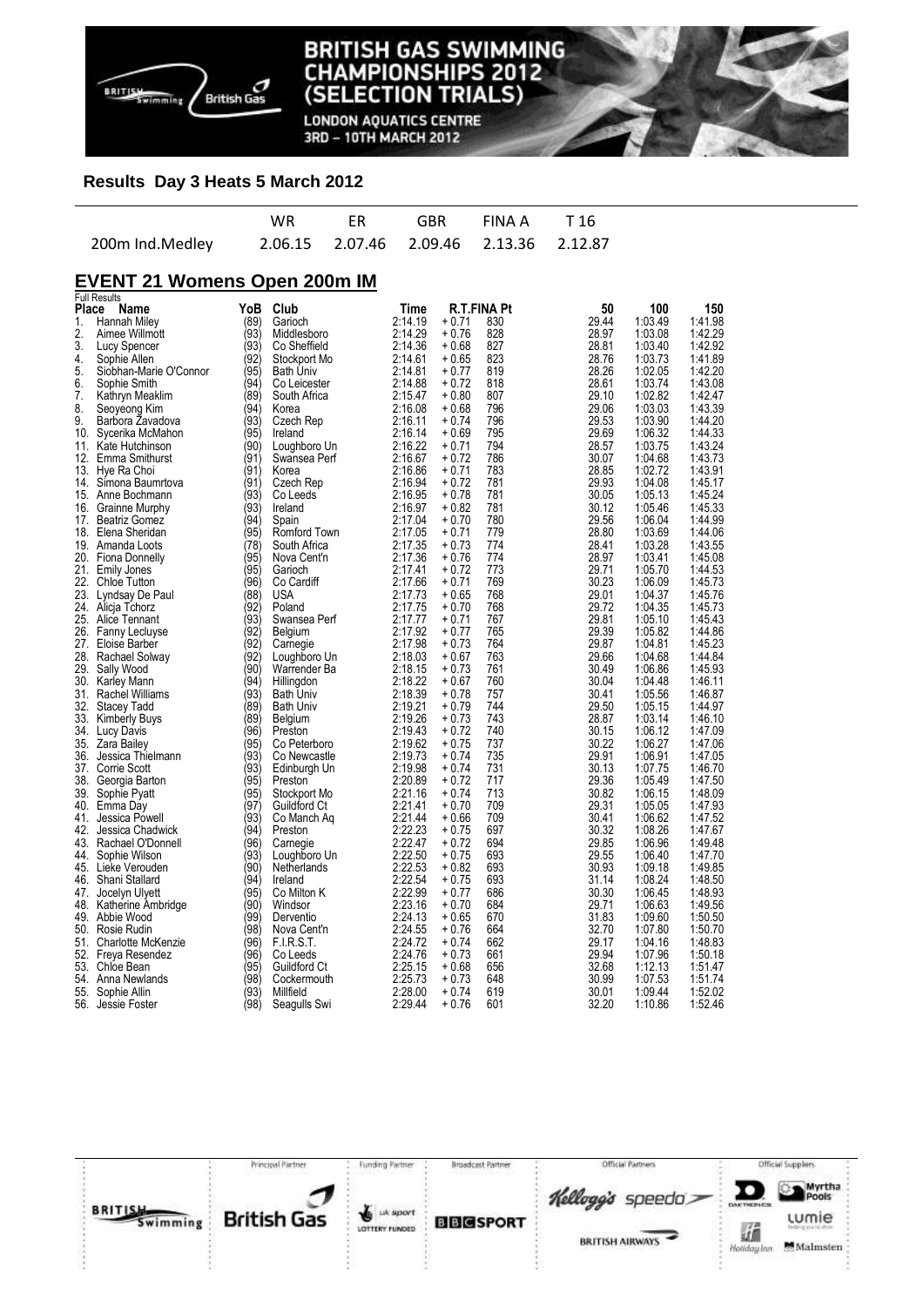

**LONDON AQUATICS CENTRE** 3RD - 10TH MARCH 2012

## **Results Day 3 Heats 5 March 2012**

|                 | WR |                                         | FR GBR FINAA T16 |  |
|-----------------|----|-----------------------------------------|------------------|--|
| 200m Ind.Medley |    | 2.06.15 2.07.46 2.09.46 2.13.36 2.12.87 |                  |  |

## **EVENT 21 Womens Open 200m IM**

| <b>Full Results</b> |                        |      |                  |         |         |             |       |         |         |
|---------------------|------------------------|------|------------------|---------|---------|-------------|-------|---------|---------|
| Place               | Name                   | YoB  | Club             | Time    |         | R.T.FINA Pt | 50    | 100     | 150     |
| 1.                  | Hannah Miley           | (89) | Garioch          | 2:14.19 | + 0.71  | 830         | 29.44 | 1:03.49 | 1:41.98 |
| 2.                  | Aimee Willmott         | (93) | Middlesboro      | 2:14.29 | $+0.76$ | 828         | 28.97 | 1:03.08 | 1:42.29 |
| 3.                  | Lucy Spencer           | (93) | Co Sheffield     | 2:14.36 | + 0.68  | 827         | 28.81 | 1:03.40 | 1:42.92 |
| 4.                  |                        | (92) |                  | 2:14.61 | + 0.65  | 823         | 28.76 | 1:03.73 | 1:41.89 |
|                     | Sophie Allen           |      | Stockport Mo     |         |         |             |       |         |         |
| 5.                  | Siobhan-Marie O'Connor | (95) | <b>Bath Univ</b> | 2:14.81 | + 0.77  | 819         | 28.26 | 1:02.05 | 1:42.20 |
| 6.                  | Sophie Smith           | (94) | Co Leicester     | 2:14.88 | + 0.72  | 818         | 28.61 | 1:03.74 | 1:43.08 |
| 7.                  | Kathryn Meaklim        | (89) | South Africa     | 2:15.47 | $+0.80$ | 807         | 29.10 | 1:02.82 | 1:42.47 |
| 8.                  | Seoyeong Kim           | (94) | Korea            | 2:16.08 | + 0.68  | 796         | 29.06 | 1:03.03 | 1:43.39 |
| 9.                  | Barbora Zavadova       | (93) | Czech Rep        | 2:16.11 | + 0.74  | 796         | 29.53 | 1:03.90 | 1:44.20 |
| 10.                 | Sycerika McMahon       | (95) | Ireland          | 2:16.14 | $+0.69$ | 795         | 29.69 | 1:06.32 | 1:44.33 |
| 11.                 | Kate Hutchinson        | (90) | Loughboro Un     | 2:16.22 | + 0.71  | 794         | 28.57 | 1:03.75 | 1:43.24 |
| 12.                 | Emma Smithurst         | (91) | Swansea Perf     | 2:16.67 | + 0.72  | 786         | 30.07 | 1:04.68 | 1:43.73 |
| 13.                 | Hye Ra Choi            | (91) | Korea            | 2:16.86 | $+0.71$ | 783         | 28.85 | 1:02.72 | 1:43.91 |
|                     |                        |      |                  |         |         |             |       |         |         |
| 14.                 | Simona Baumrtova       | (91) | Czech Rep        | 2:16.94 | + 0.72  | 781         | 29.93 | 1:04.08 | 1:45.17 |
| 15.                 | Anne Bochmann          | (93) | Co Leeds         | 2:16.95 | $+0.78$ | 781         | 30.05 | 1:05.13 | 1:45.24 |
|                     | 16. Grainne Murphy     | (93) | Ireland          | 2:16.97 | $+0.82$ | 781         | 30.12 | 1:05.46 | 1:45.33 |
| 17.                 | <b>Beatriz Gomez</b>   | (94) | Spain            | 2:17.04 | + 0.70  | 780         | 29.56 | 1:06.04 | 1:44.99 |
|                     | 18. Elena Sheridan     | (95) | Romford Town     | 2:17.05 | $+0.71$ | 779         | 28.80 | 1:03.69 | 1:44.06 |
|                     | 19. Amanda Loots       | (78) | South Africa     | 2:17.35 | + 0.73  | 774         | 28.41 | 1:03.28 | 1:43.55 |
|                     | 20. Fiona Donnelly     | (95) | Nova Cent'n      | 2:17.36 | + 0.76  | 774         | 28.97 | 1:03.41 | 1:45.08 |
|                     | 21. Emily Jones        | (95) | Garioch          | 2:17.41 | $+0.72$ | 773         | 29.71 | 1:05.70 | 1:44.53 |
|                     | 22. Chloe Tutton       | (96) | Co Cardiff       | 2:17.66 | + 0.71  | 769         | 30.23 | 1:06.09 | 1:45.73 |
|                     | 23. Lyndsay De Paul    | (88) |                  | 2:17.73 | $+0.65$ | 768         | 29.01 | 1:04.37 | 1:45.76 |
|                     |                        |      | USA              |         |         |             |       |         |         |
| 24.                 | Alicja Tchorz          | (92) | Poland           | 2:17.75 | + 0.70  | 768         | 29.72 | 1:04.35 | 1:45.73 |
| 25.                 | Alice Tennant          | (93) | Swansea Perf     | 2:17.77 | + 0.71  | 767         | 29.81 | 1:05.10 | 1:45.43 |
| 26.                 | Fanny Lecluyse         | (92) | Belgium          | 2:17.92 | $+0.77$ | 765         | 29.39 | 1:05.82 | 1:44.86 |
| 27.                 | Eloise Barber          | (92) | Camegie          | 2:17.98 | + 0.73  | 764         | 29.87 | 1:04.81 | 1:45.23 |
| 28.                 | Rachael Solway         | (92) | Loughboro Un     | 2:18.03 | + 0.67  | 763         | 29.66 | 1:04.68 | 1:44.84 |
| 29.                 | Sally Wood             | (90) | Warrender Ba     | 2:18.15 | + 0.73  | 761         | 30.49 | 1:06.86 | 1:45.93 |
|                     | 30. Karley Mann        | (94) | Hillingdon       | 2:18.22 | + 0.67  | 760         | 30.04 | 1:04.48 | 1:46.11 |
| 31.                 | Rachel Williams        | (93) | <b>Bath Univ</b> | 2:18.39 | $+0.78$ | 757         | 30.41 | 1:05.56 | 1:46.87 |
| 32.                 | Stacey Tadd            | (89) | <b>Bath Univ</b> | 2:19.21 | + 0.79  | 744         | 29.50 | 1:05.15 | 1:44.97 |
|                     |                        | (89) |                  | 2:19.26 | + 0.73  | 743         | 28.87 | 1:03.14 | 1:46.10 |
|                     | 33. Kimberly Buys      | (96) | Belgium          | 2:19.43 |         | 740         |       |         |         |
|                     | 34. Lucy Davis         |      | Preston          |         | + 0.72  |             | 30.15 | 1:06.12 | 1:47.09 |
| 35.                 | Zara Bailey            | (95) | Co Peterboro     | 2:19.62 | + 0.75  | 737         | 30.22 | 1:06.27 | 1:47.06 |
| 36.                 | Jessica Thielmann      | (93) | Co Newcastle     | 2:19.73 | + 0.74  | 735         | 29.91 | 1:06.91 | 1:47.05 |
| 37.                 | Corrie Scott           | (93) | Edinburgh Un     | 2:19.98 | + 0.74  | 731         | 30.13 | 1:07.75 | 1:46.70 |
| 38.                 | Georgia Barton         | (95) | Preston          | 2:20.89 | + 0.72  | 717         | 29.36 | 1:05.49 | 1:47.50 |
| 39.                 | Sophie Pyatt           | (95) | Stockport Mo     | 2:21.16 | + 0.74  | 713         | 30.82 | 1:06.15 | 1:48.09 |
|                     | 40. Emma Day           | (97' | Guildford Ct     | 2:21.41 | + 0.70  | 709         | 29.31 | 1:05.05 | 1:47.93 |
| 41.                 | Jessica Powell         | (93) | Co Manch Ag      | 2:21.44 | + 0.66  | 709         | 30.41 | 1:06.62 | 1:47.52 |
| 42.                 | Jessica Chadwick       | (94) | Preston          | 2:22.23 | $+0.75$ | 697         | 30.32 | 1:08.26 | 1:47.67 |
|                     | 43. Rachael O'Donnell  | (96) | Camegie          | 2:22.47 | + 0.72  | 694         | 29.85 | 1:06.96 | 1:49.48 |
| 44.                 | Sophie Wilson          | (93) | Loughboro Un     | 2:22.50 | + 0.75  | 693         | 29.55 | 1:06.40 | 1:47.70 |
|                     | 45. Lieke Verouden     | (90) | Netherlands      | 2:22.53 | + 0.82  | 693         | 30.93 | 1:09.18 | 1:49.85 |
|                     |                        |      |                  |         |         |             |       |         |         |
| 46.                 | Shani Stallard         | (94) | Ireland          | 2:22.54 | + 0.75  | 693         | 31.14 | 1:08.24 | 1:48.50 |
| 47.                 | Jocelyn Ulyett         | (95) | Co Milton K      | 2:22.99 | $+0.77$ | 686         | 30.30 | 1:06.45 | 1:48.93 |
|                     | 48. Katherine Ambridge | (90) | Windsor          | 2:23.16 | + 0.70  | 684         | 29.71 | 1:06.63 | 1:49.56 |
|                     | 49. Abbie Wood         | (99) | Derventio        | 2:24.13 | + 0.65  | 670         | 31.83 | 1:09.60 | 1:50.50 |
|                     | 50. Rosie Rudin        | (98) | Nova Cent'n      | 2:24.55 | $+0.76$ | 664         | 32.70 | 1:07.80 | 1:50.70 |
| 51.                 | Charlotte McKenzie     | (96) | F.I.R.S.T.       | 2:24.72 | + 0.74  | 662         | 29.17 | 1:04.16 | 1:48.83 |
| 52.                 | Freya Resendez         | (96) | Co Leeds         | 2:24.76 | $+0.73$ | 661         | 29.94 | 1:07.96 | 1:50.18 |
|                     | 53. Chloe Bean         | (95) | Guildford Ct     | 2:25.15 | + 0.68  | 656         | 32.68 | 1:12.13 | 1:51.47 |
| 54.                 | Anna Newlands          | (98) | Cockermouth      | 2:25.73 | + 0.73  | 648         | 30.99 | 1:07.53 | 1:51.74 |
| 55.                 | Sophie Allin           | (93) | Millfield        | 2:28.00 | + 0.74  | 619         | 30.01 | 1:09.44 | 1:52.02 |
|                     |                        | (98) |                  | 2:29.44 | + 0.76  | 601         | 32.20 | 1:10.86 | 1:52.46 |
|                     | 56. Jessie Foster      |      | Seagulls Swi     |         |         |             |       |         |         |

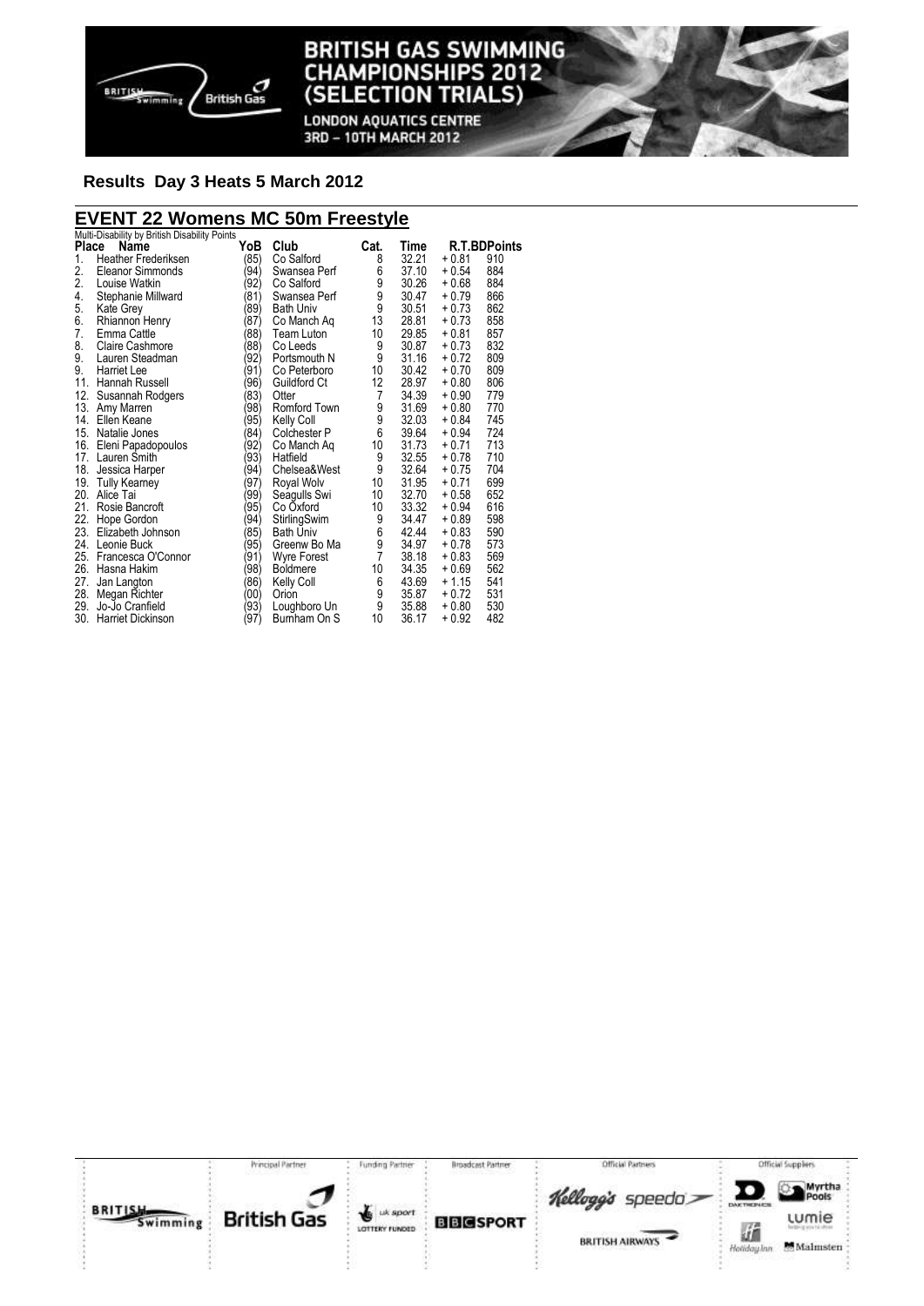

**LONDON AQUATICS CENTRE** 3RD - 10TH MARCH 2012

# **Results Day 3 Heats 5 March 2012**

# **EVENT 22 Womens MC 50m Freestyle**  Multi-Disability by British Disability Points

| <b>Place</b> | <b>Math-Disability by Dritish Disability I Ullits</b><br>Name | YoB  | Club               | Cat.           | Time  |         | <b>R.T.BDPoints</b> |
|--------------|---------------------------------------------------------------|------|--------------------|----------------|-------|---------|---------------------|
| 1.           | <b>Heather Frederiksen</b>                                    | 85)  | Co Salford         | 8              | 32.21 | $+0.81$ | 910                 |
| 2.           | <b>Eleanor Simmonds</b>                                       | '94) | Swansea Perf       | 6              | 37.10 | $+0.54$ | 884                 |
| 2.           | Louise Watkin                                                 | 92)  | Co Salford         | 9              | 30.26 | $+0.68$ | 884                 |
| 4.           | Stephanie Millward                                            | '81) | Swansea Perf       | 9              | 30.47 | + 0.79  | 866                 |
| 5.           | Kate Grey                                                     | 89)  | <b>Bath Univ</b>   | 9              | 30.51 | $+0.73$ | 862                 |
| 6.           | Rhiannon Henry                                                | (87) | Co Manch Aq        | 13             | 28.81 | $+0.73$ | 858                 |
| 7.           | Emma Cattle                                                   | 88)  | Team Luton         | 10             | 29.85 | $+0.81$ | 857                 |
| 8.           | Claire Cashmore                                               | 88)  | Co Leeds           | 9              | 30.87 | $+0.73$ | 832                 |
| 9.           | Lauren Steadman                                               | 92)  | Portsmouth N       | 9              | 31.16 | + 0.72  | 809                 |
| 9.           | Harriet Lee                                                   | '91) | Co Peterboro       | 10             | 30.42 | $+0.70$ | 809                 |
| 11.          | Hannah Russell                                                | '96) | Guildford Ct       | 12             | 28.97 | $+0.80$ | 806                 |
| 12.          | Susannah Rodgers                                              | 83)  | Otter              | $\overline{7}$ | 34.39 | $+0.90$ | 779                 |
| 13.          | Amy Marren                                                    | '98) | Romford Town       | 9              | 31.69 | $+0.80$ | 770                 |
| 14.          | Ellen Keane                                                   | '95) | Kelly Coll         | 9              | 32.03 | $+0.84$ | 745                 |
|              | 15. Natalie Jones                                             | 84)  | Colchester P       | 6              | 39.64 | $+0.94$ | 724                 |
|              | 16. Eleni Papadopoulos                                        | 92)  | Co Manch Aq        | 10             | 31.73 | $+0.71$ | 713                 |
| 17.          | Lauren Smith                                                  | '93) | Hatfield           | 9              | 32.55 | $+0.78$ | 710                 |
| 18.          | Jessica Harper                                                | '94) | Chelsea&West       | 9              | 32.64 | $+0.75$ | 704                 |
| 19.          | <b>Tully Kearney</b>                                          | '97) | Royal Wolv         | 10             | 31.95 | $+0.71$ | 699                 |
|              | 20. Alice Tai                                                 | '99) | Seagulls Swi       | 10             | 32.70 | $+0.58$ | 652                 |
| 21.          | Rosie Bancroft                                                | 95)  | Co Oxford          | 10             | 33.32 | $+0.94$ | 616                 |
| 22.          | Hope Gordon                                                   | 94)  | StirlingSwim       | 9              | 34.47 | $+0.89$ | 598                 |
| 23.          | Elizabeth Johnson                                             | 85)  | Bath Univ          | 6              | 42.44 | $+0.83$ | 590                 |
| 24.          | Leonie Buck                                                   | 95)  | Greenw Bo Ma       | 9              | 34.97 | $+0.78$ | 573                 |
|              | 25. Francesca O'Connor                                        | '91) | <b>Wyre Forest</b> | $\overline{7}$ | 38.18 | $+0.83$ | 569                 |
|              | 26. Hasna Hakim                                               | '98) | <b>Boldmere</b>    | 10             | 34.35 | $+0.69$ | 562                 |
| 27.          | Jan Langton                                                   | 86)  | Kelly Coll         | 6              | 43.69 | $+1.15$ | 541                 |
| 28.          | Megan Richter                                                 | '00) | Orion              | 9              | 35.87 | $+0.72$ | 531                 |
| 29.          | Jo-Jo Cranfield                                               | '93) | Loughboro Un       | 9              | 35.88 | $+0.80$ | 530                 |
| 30.          | Harriet Dickinson                                             | 97)  | Burnham On S       | 10             | 36.17 | $+0.92$ | 482                 |